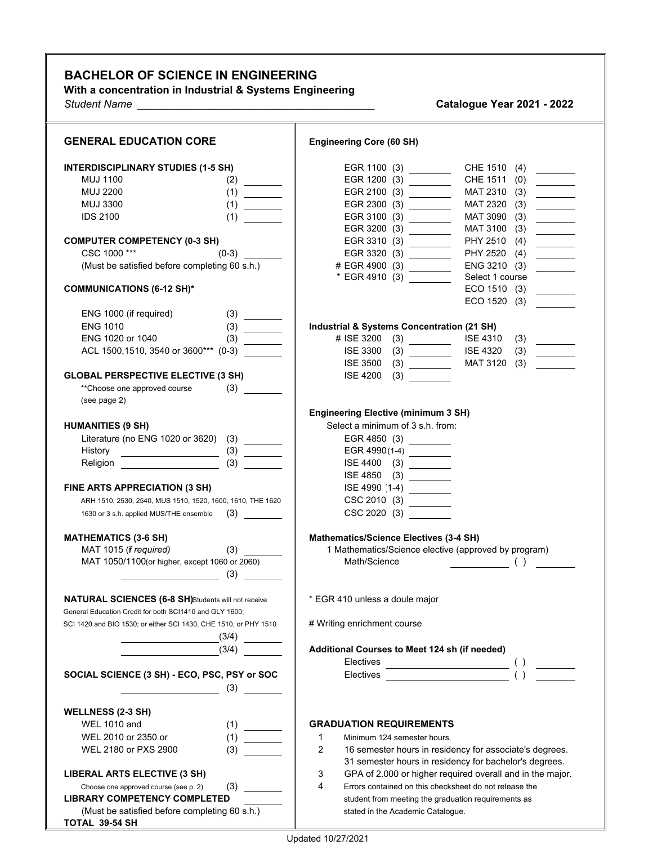## **BACHELOR OF SCIENCE IN ENGINEERING**

**With a concentration in Industrial & Systems Engineering**

*Student Name \_\_\_\_\_\_\_\_\_\_\_\_\_\_\_\_\_\_\_\_\_\_\_\_\_\_\_\_\_\_\_\_\_\_\_\_\_\_\_\_* **Catalogue Year 2021 - 2022**

| <b>GENERAL EDUCATION CORE</b>                                                                                 | <b>Engineering Core (60 SH)</b>                                                                                                                                                                                                                                             |
|---------------------------------------------------------------------------------------------------------------|-----------------------------------------------------------------------------------------------------------------------------------------------------------------------------------------------------------------------------------------------------------------------------|
| <b>INTERDISCIPLINARY STUDIES (1-5 SH)</b>                                                                     | EGR 1100 (3) _________<br>CHE 1510 (4)                                                                                                                                                                                                                                      |
| <b>MUJ 1100</b>                                                                                               | EGR 1200 (3) __________<br>CHE 1511 (0)<br>$\overline{\phantom{a}}$                                                                                                                                                                                                         |
| <b>MUJ 2200</b>                                                                                               | EGR 2100 (3) _________<br>MAT 2310 (3)<br>$\overline{\phantom{a}}$                                                                                                                                                                                                          |
| <b>MUJ 3300</b>                                                                                               | EGR 2300 (3) _________<br>MAT 2320 (3)                                                                                                                                                                                                                                      |
| <b>IDS 2100</b><br>(1)                                                                                        | EGR 3100 (3) ________<br>MAT 3090 (3)                                                                                                                                                                                                                                       |
|                                                                                                               | EGR 3200 (3) _________<br>MAT 3100 (3)                                                                                                                                                                                                                                      |
| <b>COMPUTER COMPETENCY (0-3 SH)</b>                                                                           | PHY 2510 (4)<br>$\overline{\phantom{a}}$<br>EGR 3310 (3) _________                                                                                                                                                                                                          |
| CSC 1000***                                                                                                   | PHY 2520 (4)<br>EGR 3320 (3) _________<br>$\overline{\phantom{a}}$                                                                                                                                                                                                          |
| (Must be satisfied before completing 60 s.h.)                                                                 | ENG 3210 (3)<br># EGR 4900 (3)                                                                                                                                                                                                                                              |
|                                                                                                               | * EGR 4910 (3) ________<br>Select 1 course                                                                                                                                                                                                                                  |
| <b>COMMUNICATIONS (6-12 SH)*</b>                                                                              | ECO 1510 (3)<br>$\overline{\phantom{a}}$                                                                                                                                                                                                                                    |
|                                                                                                               | ECO 1520 (3)                                                                                                                                                                                                                                                                |
| ENG 1000 (if required)                                                                                        |                                                                                                                                                                                                                                                                             |
| <b>ENG 1010</b>                                                                                               | <b>Industrial &amp; Systems Concentration (21 SH)</b>                                                                                                                                                                                                                       |
| ENG 1020 or 1040<br>(3)                                                                                       | # ISE 3200<br>$(3)$ ISE 4310<br>(3)<br><u>and the state of the state of the state of the state of the state of the state of the state of the state of the state of the state of the state of the state of the state of the state of the state of the state of the state</u> |
| ACL 1500, 1510, 3540 or 3600*** (0-3)                                                                         | <b>ISE 4320</b><br><b>ISE 3300</b><br>(3)<br>$\frac{1}{2} \left( \frac{1}{2} \right)^2 \left( \frac{1}{2} \right)^2 \left( \frac{1}{2} \right)^2$                                                                                                                           |
|                                                                                                               | MAT 3120 (3)<br><b>ISE 3500</b>                                                                                                                                                                                                                                             |
| <b>GLOBAL PERSPECTIVE ELECTIVE (3 SH)</b>                                                                     | <b>ISE 4200</b><br>(3)                                                                                                                                                                                                                                                      |
| **Choose one approved course                                                                                  |                                                                                                                                                                                                                                                                             |
| (see page 2)                                                                                                  | <b>Engineering Elective (minimum 3 SH)</b>                                                                                                                                                                                                                                  |
| <b>HUMANITIES (9 SH)</b>                                                                                      | Select a minimum of 3 s.h. from:                                                                                                                                                                                                                                            |
| Literature (no ENG 1020 or 3620) (3) _______                                                                  | EGR 4850 (3)                                                                                                                                                                                                                                                                |
| History<br>$\overline{\hspace{1.5cm} (3)}$ $\overline{\hspace{1.5cm} (3)}$                                    | EGR 4990(1-4) ________                                                                                                                                                                                                                                                      |
|                                                                                                               |                                                                                                                                                                                                                                                                             |
|                                                                                                               | ISE 4850 (3) _________                                                                                                                                                                                                                                                      |
| FINE ARTS APPRECIATION (3 SH)                                                                                 | ISE 4990 [1-4]                                                                                                                                                                                                                                                              |
| ARH 1510, 2530, 2540, MUS 1510, 1520, 1600, 1610, THE 1620                                                    |                                                                                                                                                                                                                                                                             |
| 1630 or 3 s.h. applied MUS/THE ensemble                                                                       | CSC 2020 (3)                                                                                                                                                                                                                                                                |
|                                                                                                               |                                                                                                                                                                                                                                                                             |
| <b>MATHEMATICS (3-6 SH)</b>                                                                                   | Mathematics/Science Electives (3-4 SH)                                                                                                                                                                                                                                      |
| MAT 1015 (f required)<br>$(3) \quad \qquad \qquad$                                                            | 1 Mathematics/Science elective (approved by program)                                                                                                                                                                                                                        |
| MAT 1050/1100(or higher, except 1060 or 2060)                                                                 |                                                                                                                                                                                                                                                                             |
| (3)                                                                                                           |                                                                                                                                                                                                                                                                             |
| <b>NATURAL SCIENCES (6-8 SH)Students will not receive</b>                                                     | * EGR 410 unless a doule major                                                                                                                                                                                                                                              |
| General Education Credit for both SCI1410 and GLY 1600;                                                       |                                                                                                                                                                                                                                                                             |
| SCI 1420 and BIO 1530; or either SCI 1430, CHE 1510, or PHY 1510                                              | # Writing enrichment course                                                                                                                                                                                                                                                 |
|                                                                                                               |                                                                                                                                                                                                                                                                             |
| (3/4)                                                                                                         | Additional Courses to Meet 124 sh (if needed)                                                                                                                                                                                                                               |
|                                                                                                               |                                                                                                                                                                                                                                                                             |
| SOCIAL SCIENCE (3 SH) - ECO, PSC, PSY or SOC                                                                  |                                                                                                                                                                                                                                                                             |
| $\sim$ (3) $\sim$                                                                                             |                                                                                                                                                                                                                                                                             |
|                                                                                                               |                                                                                                                                                                                                                                                                             |
| <b>WELLNESS (2-3 SH)</b><br><b>WEL 1010 and</b>                                                               |                                                                                                                                                                                                                                                                             |
| $\begin{array}{c} (1) \qquad \qquad \\ (1) \qquad \qquad \qquad \\ \hline \end{array}$<br>WEL 2010 or 2350 or | <b>GRADUATION REQUIREMENTS</b><br>Minimum 124 semester hours.                                                                                                                                                                                                               |
| WEL 2180 or PXS 2900                                                                                          | 1<br>$\overline{2}$                                                                                                                                                                                                                                                         |
| (3)                                                                                                           | 16 semester hours in residency for associate's degrees.<br>31 semester hours in residency for bachelor's degrees.                                                                                                                                                           |
| LIBERAL ARTS ELECTIVE (3 SH)                                                                                  | GPA of 2.000 or higher required overall and in the major.<br>3                                                                                                                                                                                                              |
| Choose one approved course (see p. 2)                                                                         | 4<br>Errors contained on this checksheet do not release the                                                                                                                                                                                                                 |
| <b>LIBRARY COMPETENCY COMPLETED</b>                                                                           | student from meeting the graduation requirements as                                                                                                                                                                                                                         |
| (Must be satisfied before completing 60 s.h.)                                                                 | stated in the Academic Catalogue.                                                                                                                                                                                                                                           |
| TOTAL 39-54 SH                                                                                                |                                                                                                                                                                                                                                                                             |